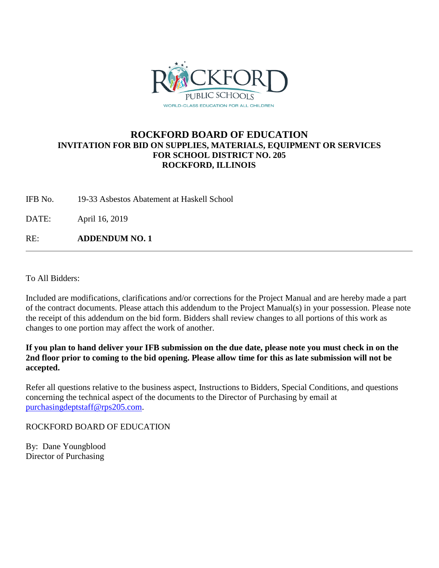

# **ROCKFORD BOARD OF EDUCATION INVITATION FOR BID ON SUPPLIES, MATERIALS, EQUIPMENT OR SERVICES FOR SCHOOL DISTRICT NO. 205 ROCKFORD, ILLINOIS**

IFB No. 19-33 Asbestos Abatement at Haskell School

DATE: April 16, 2019

RE: **ADDENDUM NO. 1**

To All Bidders:

Included are modifications, clarifications and/or corrections for the Project Manual and are hereby made a part of the contract documents. Please attach this addendum to the Project Manual(s) in your possession. Please note the receipt of this addendum on the bid form. Bidders shall review changes to all portions of this work as changes to one portion may affect the work of another.

**If you plan to hand deliver your IFB submission on the due date, please note you must check in on the 2nd floor prior to coming to the bid opening. Please allow time for this as late submission will not be accepted.**

Refer all questions relative to the business aspect, Instructions to Bidders, Special Conditions, and questions concerning the technical aspect of the documents to the Director of Purchasing by email at [purchasingdeptstaff@rps205.com.](mailto:purchasingdeptstaff@rps205.com)

ROCKFORD BOARD OF EDUCATION

By: Dane Youngblood Director of Purchasing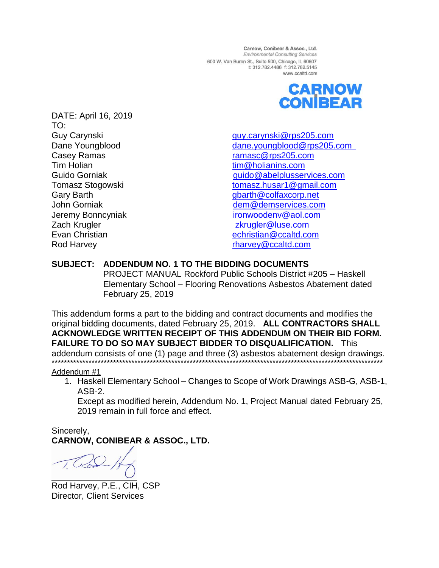Carnow, Conibear & Assoc., Ltd. **Environmental Consulting Services** 600 W. Van Buren St., Suite 500, Chicago, IL 60607 t: 312.782.4486 f: 312.782.5145 www.ccaltd.com



DATE: April 16, 2019 TO: Casey Ramas **[ramasc@rps205.com](mailto:ramasc@rps205.com)** Tim Holian [tim@holianins.com](mailto:tim@holianins.com) Zach Krugler zamest [zkrugler@luse.com](mailto:zkrugler@luse.com) Rod Harvey **Rod Harvey Rod Harvey Rod Harvey Rod Harvey Rod Harvey Rod Harvey Rod Harvey Rod Harvey Rod Harvey Rod Harvey Rod Harvey Rod Harvey Rod Harvey Rod Harvey Rod Harvey Rod Harvey Ro** 

Guy Carynski [guy.carynski@rps205.com](mailto:guy.carynski@rps205.com) Dane Youngblood [dane.youngblood@rps205.com](mailto:dane.youngblood@rps205.com) Guido Gorniak Guido **Gorniak** guido @abelplusservices.com Tomasz Stogowski [tomasz.husar1@gmail.com](mailto:tomasz.husar1@gmail.com) Gary Barth Garth Garth Garth Garth Guillach and Guillach Guillach Guillach Guillach Guillach Guillach Guillach John Gorniak [dem@demservices.com](mailto:dem@demservices.com) Jeremy Bonncyniak [ironwoodenv@aol.com](mailto:ironwoodenv@aol.com) Evan Christian [echristian@ccaltd.com](mailto:echristian@ccaltd.com)

# **SUBJECT: ADDENDUM NO. 1 TO THE BIDDING DOCUMENTS**

PROJECT MANUAL Rockford Public Schools District #205 – Haskell Elementary School – Flooring Renovations Asbestos Abatement dated February 25, 2019

This addendum forms a part to the bidding and contract documents and modifies the original bidding documents, dated February 25, 2019. **ALL CONTRACTORS SHALL ACKNOWLEDGE WRITTEN RECEIPT OF THIS ADDENDUM ON THEIR BID FORM. FAILURE TO DO SO MAY SUBJECT BIDDER TO DISQUALIFICATION.** This addendum consists of one (1) page and three (3) asbestos abatement design drawings.

## \*\*\*\*\*\*\*\*\*\*\*\*\*\*\*\*\*\*\*\*\*\*\*\*\*\*\*\*\*\*\*\*\*\*\*\*\*\*\*\*\*\*\*\*\*\*\*\*\*\*\*\*\*\*\*\*\*\*\*\*\*\*\*\*\*\*\*\*\*\*\*\*\*\*\*\*\*\*\*\*\*\*\*\*\*\*\*\*\*\*\*\*\*\*\*\*\*\*\*\*\*\*\*\*\*\*\*\* Addendum #1

1. Haskell Elementary School – Changes to Scope of Work Drawings ASB-G, ASB-1, ASB-2.

Except as modified herein, Addendum No. 1, Project Manual dated February 25, 2019 remain in full force and effect.

Sincerely, **CARNOW, CONIBEAR & ASSOC., LTD.**

Rod Harvey, P.E., CIH, CSP Director, Client Services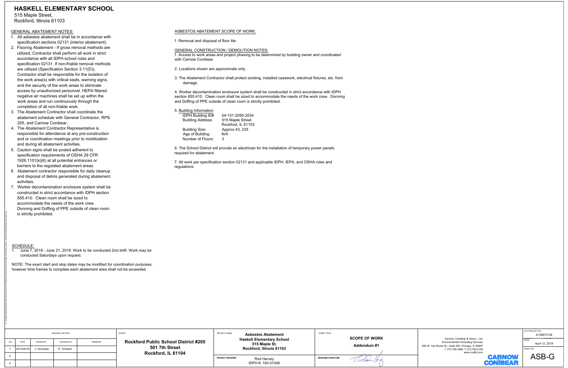- 
- 
- 
- 
- 
- 
- 

# K:\\_comwpd\Projects\Rockford School District\Contract 2013\Haskell Year-Round School\Classroom Flooring Renovations - Summer 2019\haskell base floor plans.dwg Rockford Public School District #205<br>
FROCKford Public School District #205<br>
501 7th Street<br>
Rockford, IL 61104<br>
FROCKFOR AND ROCKFOR AND ROCKFOR AND PROJECT DESIGNER<br>
ROCKFOR ROCKFOR ROCKFOR ROCHER SIGNATURE IDPH #: 100-01548 Environmental Consulting Services Carnow, Conibear & Assoc., Ltd. 600 W. Van Buren St., Suite 500, Chicago, IL 60607 t: 312.782.4486 f: 312.782.5145 www.ccaltd.com CCA PROJECT NO. SHEET NO. DATE: DRAWING HISTORY NO. DATE REMARKS PROJECT NAME: SHEET TITLE: DRAWN BY: CHECKED BY: CLIENT: A139670136 April 12, 2019 <sup>1</sup> 04/12/2019 J. Gonzalez E. Christian <sup>20</sup> **SCOPE OF WORK Addendum #1** ASB-G **HASKELL ELEMENTARY SCHOOL** 515 Maple Street, Rockford, Illinois 61103 SCHEDULE: 1. June 7, 2019 - June 21, 2019. Work to be conducted 2nd shift. Work may be conducted Saturdays upon request. NOTE: The exact start and stop dates may be modified for coordination purposes, however time frames to complete each abatement area shall not be exceeded. GENERAL ABATEMENT NOTES: 1. All asbestos abatement shall be in accordance with specification sections 02131 (interior abatement). 2. Flooring Abatement - If gross removal methods are utilized, Contractor shall perform all work in strict accordance with all IDPH school rules and specification 02131. If non-friable removal methods are utilized (Specification Section 3.11(D)), Contractor shall be responsible for the isolation of the work area(s) with critical seals, warning signs, and the security of the work areas to eliminate access by unauthorized personnel. HEPA filtered negative air machines shall be set up within the work areas and run continuously through the completion of all non-friable work. 3. The Abatement Contractor shall coordinate the abatement schedule with General Contractor, RPS 205, and Carnow Conibear. 4. The Abatement Contractor Representative is responsible for attendance at any pre-construction and or coordination meetings prior to mobilization and during all abatement activities. 5. Caution signs shall be posted adherent to specification requirements of OSHA 29 CFR 1926.1101(k)(6) at all potential entrances or barriers to the regulated abatement areas. 6. Abatement contractor responsible for daily cleanup and disposal of debris generated during abatement activities. 7. Worker decontamination enclosure system shall be constructed in strict accordance with IDPH section 855.410. Clean room shall be sized to accommodate the needs of the work crew. Donning and Doffing of PPE outside of clean room is strictly prohibited. ASBESTOS ABATEMENT SCOPE OF WORK: 1. Removal and disposal of floor tile GENERAL CONSTRUCTION / DEMOLITION NOTES: 1. Access to work areas and project phasing to be determined by building owner and coordinated with Carnow Conibear. 2. Locations shown are approximate only. 3. The Abatement Contractor shall protect existing, installed casework, electrical fixtures, etc. from damage. 4. Worker decontamination enclosure system shall be constructed in strict accordance with IDPH section 855.410. Clean room shall be sized to accommodate the needs of the work crew. Donning and Doffing of PPE outside of clean room is strictly prohibited. 5. Building Information: IDPH Building ID# 04-101-2050-2034 Building Address: 515 Maple Street Rockford, IL 61103 Building Size: Approx 43, 235 Age of Building: N/A Number of Floors: <sup>3</sup> 6. The School District will provide an electrician for the installation of temporary power panels required for abatement. 7. All work per specification section 02131 and applicable IDPH, IEPA, and OSHA rules and regulations.

- 
- 

| Building Information:    |                  |
|--------------------------|------------------|
| <b>IDPH Building ID#</b> | 04-101-2050-203  |
| <b>Building Address:</b> | 515 Maple Stree  |
|                          | Rockford, IL 611 |
| <b>Building Size:</b>    | Approx 43, 235   |
| Age of Building:         | N/A              |
| Number of Floors:        | 3                |
|                          |                  |

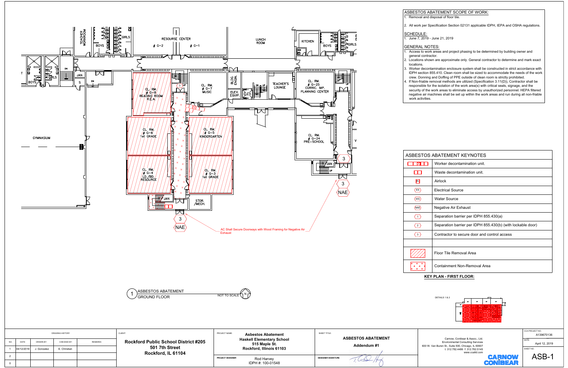|               | <b>DRAWING HISTORY</b> |             |              | CLIENT:        | PROJECT NAME:<br><b>Asbestos Abatement</b>                                          | SHEET TITLE:<br><b>ASBESTOS ABATEMENT</b>         |                           |
|---------------|------------------------|-------------|--------------|----------------|-------------------------------------------------------------------------------------|---------------------------------------------------|---------------------------|
| NO.           | DATE                   | DRAWN BY:   | CHECKED BY:  | <b>REMARKS</b> | <b>Rockford Public School District #205</b><br>501 7th Street<br>Rockford, IL 61104 | <b>Haskell Elementary School</b><br>515 Maple St. | Addendum #1               |
|               | 04/12/2019             | J. Gonzalez | E. Christian |                |                                                                                     | Rockford, Illinois 61103                          |                           |
| $\mathcal{D}$ |                        |             |              |                |                                                                                     | PROJECT DESIGNER<br>Rod Harvey                    | <b>DESIGNER SIGNATURE</b> |
|               |                        |             |              |                |                                                                                     | IDPH #: 100-01548                                 |                           |

|                                          | <b>STOS ABATEMENT KEYNOTES</b>                              |  |  |  |  |  |
|------------------------------------------|-------------------------------------------------------------|--|--|--|--|--|
|                                          | Worker decontamination unit.                                |  |  |  |  |  |
|                                          | Waste decontamination unit.                                 |  |  |  |  |  |
| 띠                                        | Airlock                                                     |  |  |  |  |  |
| $\overline{\mathbf{s}}$                  | <b>Electrical Source</b>                                    |  |  |  |  |  |
| $\overline{\mathsf{v}\mathsf{s}}\rangle$ | <b>Water Source</b>                                         |  |  |  |  |  |
| $\overline{AB}$                          | Negative Air Exhaust                                        |  |  |  |  |  |
| $\overline{1}$                           | Separation barrier per IDPH 855.430(a)                      |  |  |  |  |  |
| $\overline{2}$                           | Separation barrier per IDPH 855.430(b) (with lockable door) |  |  |  |  |  |
| $\overline{\mathbf{3}}$                  | Contractor to secure door and control access                |  |  |  |  |  |
|                                          |                                                             |  |  |  |  |  |
|                                          | Floor Tile Removal Area                                     |  |  |  |  |  |
|                                          | Containment Non-Removal Area                                |  |  |  |  |  |
|                                          | <b>KEY PLAN - FIRST FLOOR:</b>                              |  |  |  |  |  |
|                                          |                                                             |  |  |  |  |  |





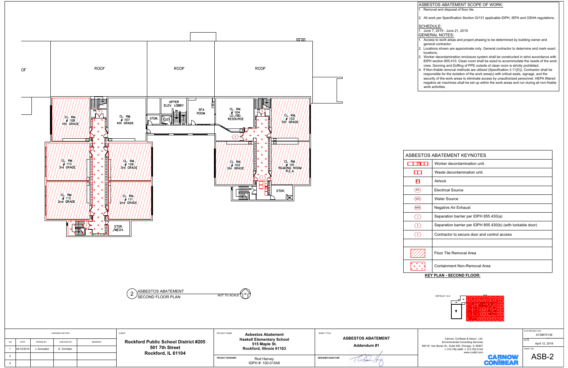![](_page_4_Figure_0.jpeg)

![](_page_4_Figure_1.jpeg)

![](_page_4_Picture_2.jpeg)

| <b>DRAWING HISTORY</b> |            |             |              |                | CLIENT:                                                                             | PROJECT NAME:<br><b>Asbestos Abatement</b> | SHEET TITLE:                    |                                                   |  |                                          |
|------------------------|------------|-------------|--------------|----------------|-------------------------------------------------------------------------------------|--------------------------------------------|---------------------------------|---------------------------------------------------|--|------------------------------------------|
| NO.                    | DATE       | DRAWN BY:   | CHECKED BY:  | <b>REMARKS</b> | <b>Rockford Public School District #205</b><br>501 7th Street<br>Rockford, IL 61104 |                                            |                                 | <b>Haskell Elementary School</b><br>515 Maple St. |  | <b>ASBESTOS ABATEMENT</b><br>Addendum #1 |
|                        | 04/12/2019 | J. Gonzalez | E. Christian |                |                                                                                     |                                            | Rockford, Illinois 61103        |                                                   |  |                                          |
|                        |            |             |              |                |                                                                                     | PROJECT DESIGNER                           | Rod Harvey<br>IDPH #: 100-01548 | <b>DESIGNER SIGNATURE</b>                         |  |                                          |

- 
- 

- 
- 
- 
- 

|                                 | STOS ABATEMENT KEYNOTES:                                    |  |  |  |  |  |
|---------------------------------|-------------------------------------------------------------|--|--|--|--|--|
| M                               | Worker decontamination unit.                                |  |  |  |  |  |
|                                 | Waste decontamination unit.                                 |  |  |  |  |  |
| AL)                             | Airlock                                                     |  |  |  |  |  |
| $\overline{\mathsf{e}}$         | <b>Electrical Source</b>                                    |  |  |  |  |  |
| $\overline{\mathsf{vs}}\rangle$ | <b>Water Source</b>                                         |  |  |  |  |  |
| $\overline{AB}$                 | Negative Air Exhaust                                        |  |  |  |  |  |
| $\overline{1}$                  | Separation barrier per IDPH 855.430(a)                      |  |  |  |  |  |
| $\overline{2}$                  | Separation barrier per IDPH 855.430(b) (with lockable door) |  |  |  |  |  |
| $3^{\circ}$                     | Contractor to secure door and control access                |  |  |  |  |  |
|                                 |                                                             |  |  |  |  |  |
|                                 | Floor Tile Removal Area                                     |  |  |  |  |  |
|                                 | Containment Non-Removal Area                                |  |  |  |  |  |
|                                 | <b>KEY PLAN - SECOND FLOOR:</b>                             |  |  |  |  |  |
|                                 |                                                             |  |  |  |  |  |

![](_page_4_Figure_15.jpeg)

![](_page_4_Picture_17.jpeg)

![](_page_4_Picture_18.jpeg)